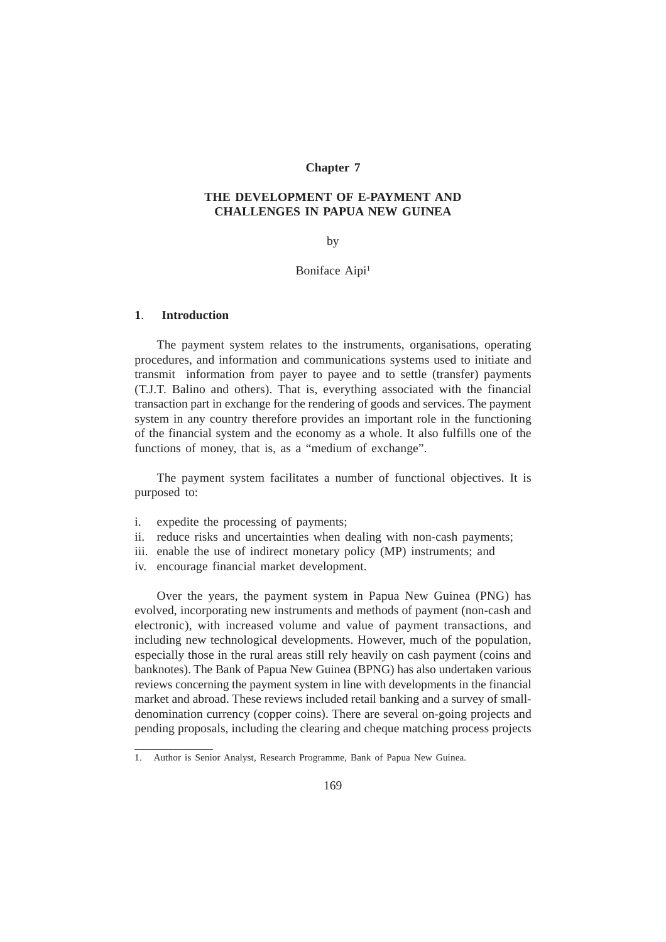# **Chapter 7**

## **THE DEVELOPMENT OF E-PAYMENT AND CHALLENGES IN PAPUA NEW GUINEA**

#### by

## Boniface Aipi<sup>1</sup>

## **1**. **Introduction**

\_\_\_\_\_\_\_\_\_\_\_\_\_\_\_\_

The payment system relates to the instruments, organisations, operating procedures, and information and communications systems used to initiate and transmit information from payer to payee and to settle (transfer) payments (T.J.T. Balino and others). That is, everything associated with the financial transaction part in exchange for the rendering of goods and services. The payment system in any country therefore provides an important role in the functioning of the financial system and the economy as a whole. It also fulfills one of the functions of money, that is, as a "medium of exchange".

The payment system facilitates a number of functional objectives. It is purposed to:

- i. expedite the processing of payments;
- ii. reduce risks and uncertainties when dealing with non-cash payments;
- iii. enable the use of indirect monetary policy (MP) instruments; and
- iv. encourage financial market development.

Over the years, the payment system in Papua New Guinea (PNG) has evolved, incorporating new instruments and methods of payment (non-cash and electronic), with increased volume and value of payment transactions, and including new technological developments. However, much of the population, especially those in the rural areas still rely heavily on cash payment (coins and banknotes). The Bank of Papua New Guinea (BPNG) has also undertaken various reviews concerning the payment system in line with developments in the financial market and abroad. These reviews included retail banking and a survey of smalldenomination currency (copper coins). There are several on-going projects and pending proposals, including the clearing and cheque matching process projects

<sup>1.</sup> Author is Senior Analyst, Research Programme, Bank of Papua New Guinea.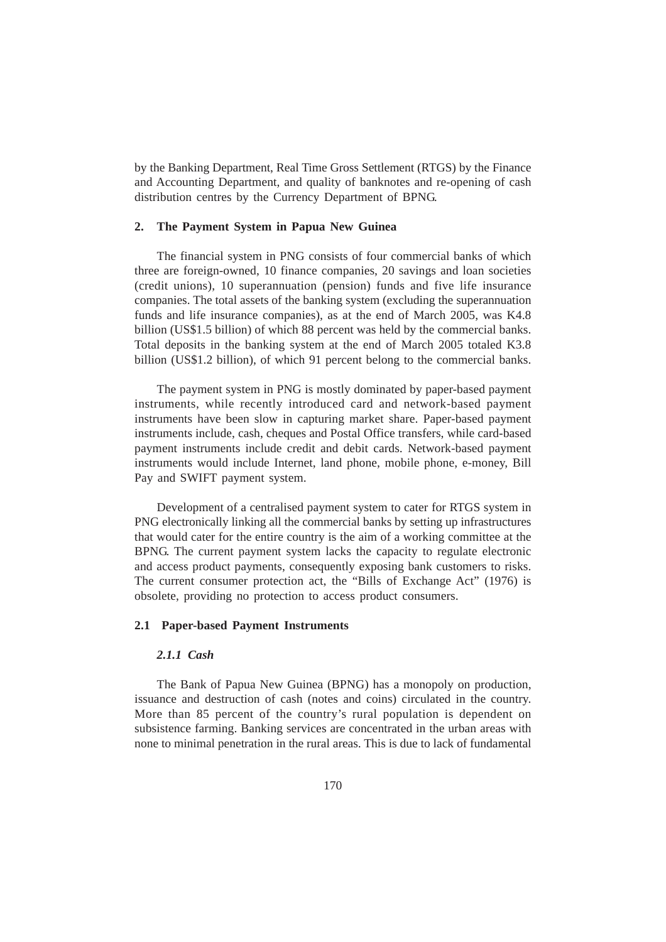by the Banking Department, Real Time Gross Settlement (RTGS) by the Finance and Accounting Department, and quality of banknotes and re-opening of cash distribution centres by the Currency Department of BPNG.

# **2. The Payment System in Papua New Guinea**

The financial system in PNG consists of four commercial banks of which three are foreign-owned, 10 finance companies, 20 savings and loan societies (credit unions), 10 superannuation (pension) funds and five life insurance companies. The total assets of the banking system (excluding the superannuation funds and life insurance companies), as at the end of March 2005, was K4.8 billion (US\$1.5 billion) of which 88 percent was held by the commercial banks. Total deposits in the banking system at the end of March 2005 totaled K3.8 billion (US\$1.2 billion), of which 91 percent belong to the commercial banks.

The payment system in PNG is mostly dominated by paper-based payment instruments, while recently introduced card and network-based payment instruments have been slow in capturing market share. Paper-based payment instruments include, cash, cheques and Postal Office transfers, while card-based payment instruments include credit and debit cards. Network-based payment instruments would include Internet, land phone, mobile phone, e-money, Bill Pay and SWIFT payment system.

Development of a centralised payment system to cater for RTGS system in PNG electronically linking all the commercial banks by setting up infrastructures that would cater for the entire country is the aim of a working committee at the BPNG. The current payment system lacks the capacity to regulate electronic and access product payments, consequently exposing bank customers to risks. The current consumer protection act, the "Bills of Exchange Act" (1976) is obsolete, providing no protection to access product consumers.

## **2.1 Paper-based Payment Instruments**

# *2.1.1 Cash*

The Bank of Papua New Guinea (BPNG) has a monopoly on production, issuance and destruction of cash (notes and coins) circulated in the country. More than 85 percent of the country's rural population is dependent on subsistence farming. Banking services are concentrated in the urban areas with none to minimal penetration in the rural areas. This is due to lack of fundamental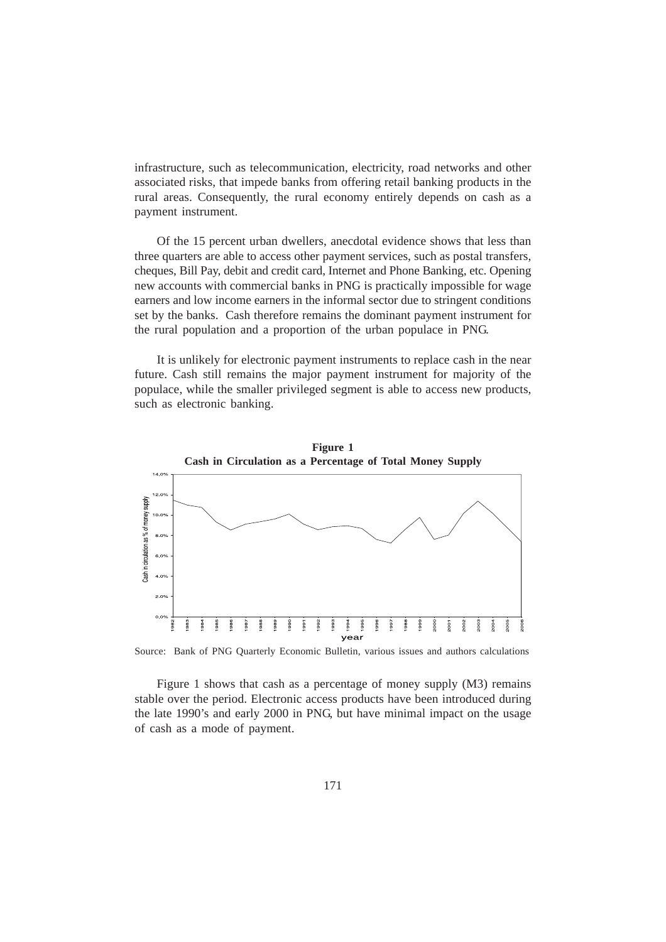infrastructure, such as telecommunication, electricity, road networks and other associated risks, that impede banks from offering retail banking products in the rural areas. Consequently, the rural economy entirely depends on cash as a payment instrument.

Of the 15 percent urban dwellers, anecdotal evidence shows that less than three quarters are able to access other payment services, such as postal transfers, cheques, Bill Pay, debit and credit card, Internet and Phone Banking, etc. Opening new accounts with commercial banks in PNG is practically impossible for wage earners and low income earners in the informal sector due to stringent conditions set by the banks. Cash therefore remains the dominant payment instrument for the rural population and a proportion of the urban populace in PNG.

It is unlikely for electronic payment instruments to replace cash in the near future. Cash still remains the major payment instrument for majority of the populace, while the smaller privileged segment is able to access new products, such as electronic banking.



Source: Bank of PNG Quarterly Economic Bulletin, various issues and authors calculations

Figure 1 shows that cash as a percentage of money supply (M3) remains stable over the period. Electronic access products have been introduced during the late 1990's and early 2000 in PNG, but have minimal impact on the usage of cash as a mode of payment.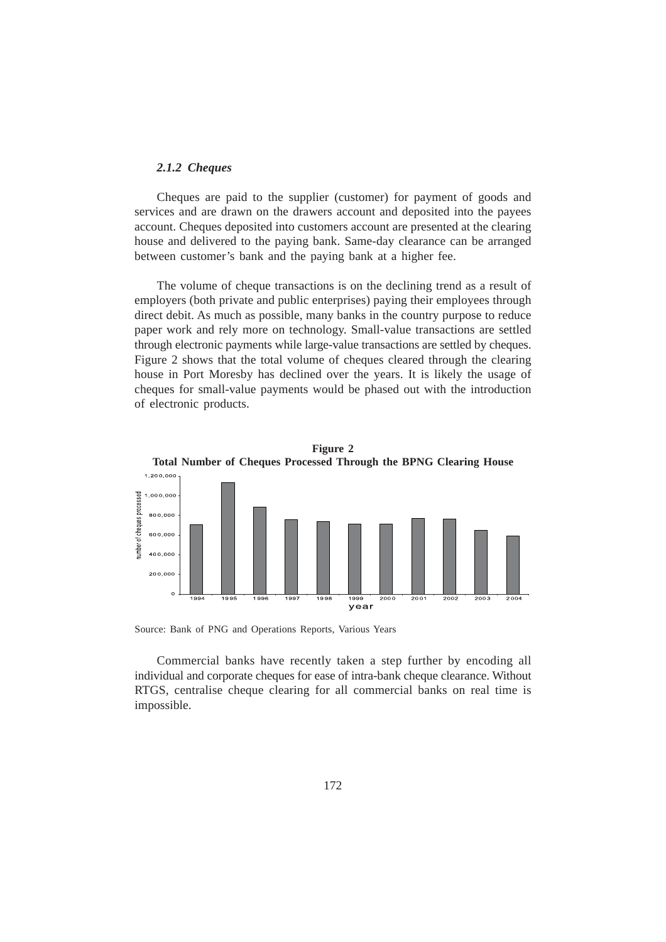## *2.1.2 Cheques*

Cheques are paid to the supplier (customer) for payment of goods and services and are drawn on the drawers account and deposited into the payees account. Cheques deposited into customers account are presented at the clearing house and delivered to the paying bank. Same-day clearance can be arranged between customer's bank and the paying bank at a higher fee.

The volume of cheque transactions is on the declining trend as a result of employers (both private and public enterprises) paying their employees through direct debit. As much as possible, many banks in the country purpose to reduce paper work and rely more on technology. Small-value transactions are settled through electronic payments while large-value transactions are settled by cheques. Figure 2 shows that the total volume of cheques cleared through the clearing house in Port Moresby has declined over the years. It is likely the usage of cheques for small-value payments would be phased out with the introduction of electronic products.



Source: Bank of PNG and Operations Reports, Various Years

Commercial banks have recently taken a step further by encoding all individual and corporate cheques for ease of intra-bank cheque clearance. Without RTGS, centralise cheque clearing for all commercial banks on real time is impossible.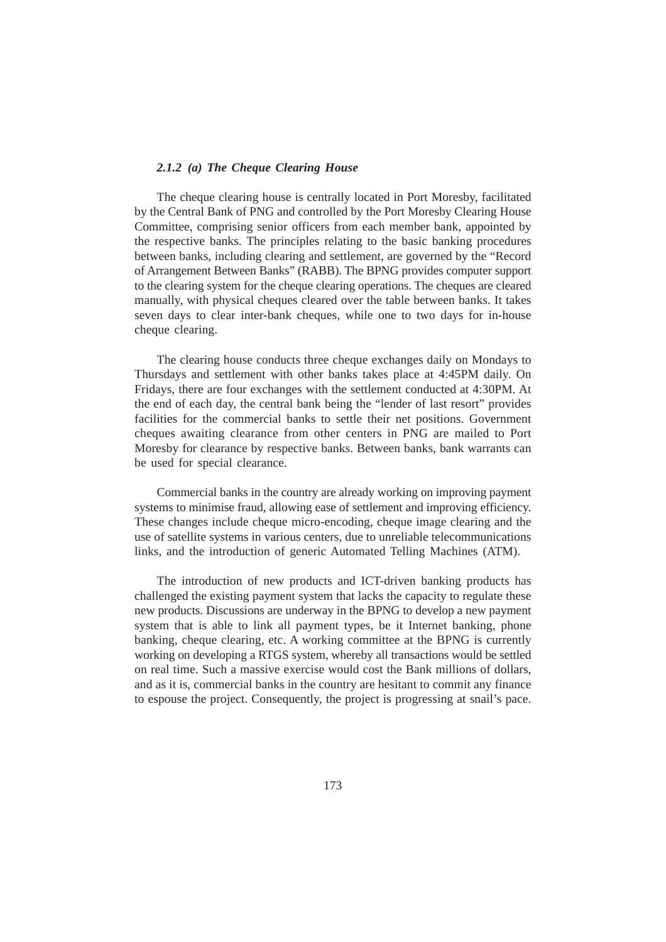## *2.1.2 (a) The Cheque Clearing House*

The cheque clearing house is centrally located in Port Moresby, facilitated by the Central Bank of PNG and controlled by the Port Moresby Clearing House Committee, comprising senior officers from each member bank, appointed by the respective banks. The principles relating to the basic banking procedures between banks, including clearing and settlement, are governed by the "Record of Arrangement Between Banks" (RABB). The BPNG provides computer support to the clearing system for the cheque clearing operations. The cheques are cleared manually, with physical cheques cleared over the table between banks. It takes seven days to clear inter-bank cheques, while one to two days for in-house cheque clearing.

The clearing house conducts three cheque exchanges daily on Mondays to Thursdays and settlement with other banks takes place at 4:45PM daily. On Fridays, there are four exchanges with the settlement conducted at 4:30PM. At the end of each day, the central bank being the "lender of last resort" provides facilities for the commercial banks to settle their net positions. Government cheques awaiting clearance from other centers in PNG are mailed to Port Moresby for clearance by respective banks. Between banks, bank warrants can be used for special clearance.

Commercial banks in the country are already working on improving payment systems to minimise fraud, allowing ease of settlement and improving efficiency. These changes include cheque micro-encoding, cheque image clearing and the use of satellite systems in various centers, due to unreliable telecommunications links, and the introduction of generic Automated Telling Machines (ATM).

The introduction of new products and ICT-driven banking products has challenged the existing payment system that lacks the capacity to regulate these new products. Discussions are underway in the BPNG to develop a new payment system that is able to link all payment types, be it Internet banking, phone banking, cheque clearing, etc. A working committee at the BPNG is currently working on developing a RTGS system, whereby all transactions would be settled on real time. Such a massive exercise would cost the Bank millions of dollars, and as it is, commercial banks in the country are hesitant to commit any finance to espouse the project. Consequently, the project is progressing at snail's pace.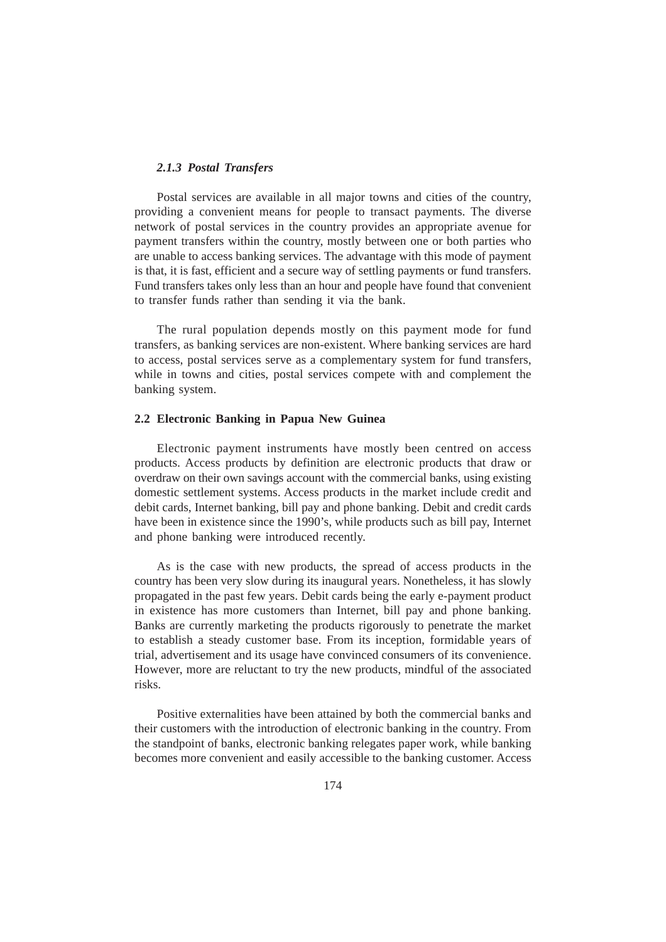## *2.1.3 Postal Transfers*

Postal services are available in all major towns and cities of the country, providing a convenient means for people to transact payments. The diverse network of postal services in the country provides an appropriate avenue for payment transfers within the country, mostly between one or both parties who are unable to access banking services. The advantage with this mode of payment is that, it is fast, efficient and a secure way of settling payments or fund transfers. Fund transfers takes only less than an hour and people have found that convenient to transfer funds rather than sending it via the bank.

The rural population depends mostly on this payment mode for fund transfers, as banking services are non-existent. Where banking services are hard to access, postal services serve as a complementary system for fund transfers, while in towns and cities, postal services compete with and complement the banking system.

## **2.2 Electronic Banking in Papua New Guinea**

Electronic payment instruments have mostly been centred on access products. Access products by definition are electronic products that draw or overdraw on their own savings account with the commercial banks, using existing domestic settlement systems. Access products in the market include credit and debit cards, Internet banking, bill pay and phone banking. Debit and credit cards have been in existence since the 1990's, while products such as bill pay, Internet and phone banking were introduced recently.

As is the case with new products, the spread of access products in the country has been very slow during its inaugural years. Nonetheless, it has slowly propagated in the past few years. Debit cards being the early e-payment product in existence has more customers than Internet, bill pay and phone banking. Banks are currently marketing the products rigorously to penetrate the market to establish a steady customer base. From its inception, formidable years of trial, advertisement and its usage have convinced consumers of its convenience. However, more are reluctant to try the new products, mindful of the associated risks.

Positive externalities have been attained by both the commercial banks and their customers with the introduction of electronic banking in the country. From the standpoint of banks, electronic banking relegates paper work, while banking becomes more convenient and easily accessible to the banking customer. Access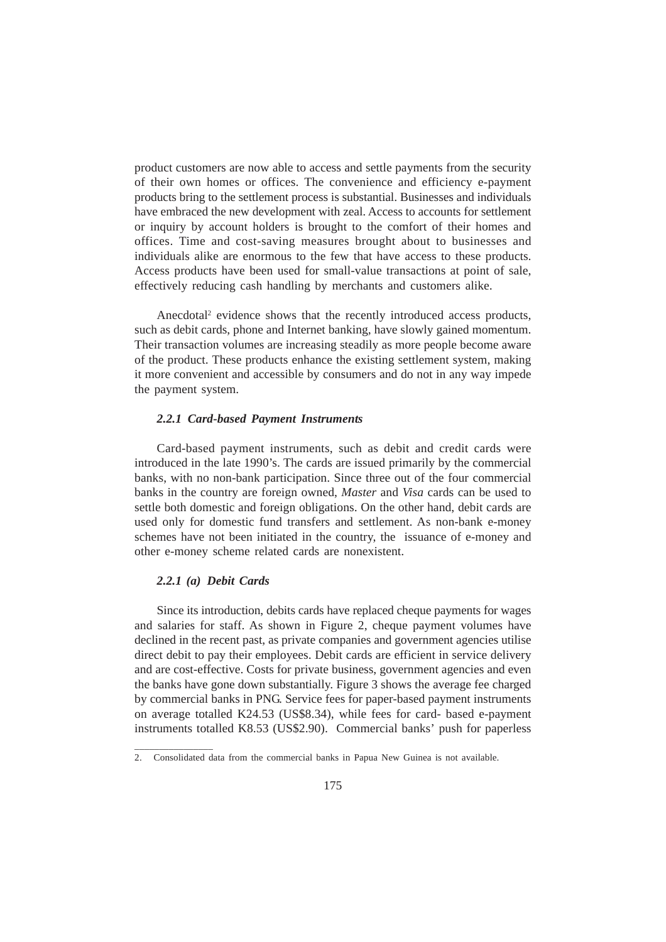product customers are now able to access and settle payments from the security of their own homes or offices. The convenience and efficiency e-payment products bring to the settlement process is substantial. Businesses and individuals have embraced the new development with zeal. Access to accounts for settlement or inquiry by account holders is brought to the comfort of their homes and offices. Time and cost-saving measures brought about to businesses and individuals alike are enormous to the few that have access to these products. Access products have been used for small-value transactions at point of sale, effectively reducing cash handling by merchants and customers alike.

Anecdotal<sup>2</sup> evidence shows that the recently introduced access products, such as debit cards, phone and Internet banking, have slowly gained momentum. Their transaction volumes are increasing steadily as more people become aware of the product. These products enhance the existing settlement system, making it more convenient and accessible by consumers and do not in any way impede the payment system.

## *2.2.1 Card-based Payment Instruments*

Card-based payment instruments, such as debit and credit cards were introduced in the late 1990's. The cards are issued primarily by the commercial banks, with no non-bank participation. Since three out of the four commercial banks in the country are foreign owned, *Master* and *Visa* cards can be used to settle both domestic and foreign obligations. On the other hand, debit cards are used only for domestic fund transfers and settlement. As non-bank e-money schemes have not been initiated in the country, the issuance of e-money and other e-money scheme related cards are nonexistent.

## *2.2.1 (a) Debit Cards*

\_\_\_\_\_\_\_\_\_\_\_\_\_\_\_\_

Since its introduction, debits cards have replaced cheque payments for wages and salaries for staff. As shown in Figure 2, cheque payment volumes have declined in the recent past, as private companies and government agencies utilise direct debit to pay their employees. Debit cards are efficient in service delivery and are cost-effective. Costs for private business, government agencies and even the banks have gone down substantially. Figure 3 shows the average fee charged by commercial banks in PNG. Service fees for paper-based payment instruments on average totalled K24.53 (US\$8.34), while fees for card- based e-payment instruments totalled K8.53 (US\$2.90). Commercial banks' push for paperless

<sup>2.</sup> Consolidated data from the commercial banks in Papua New Guinea is not available.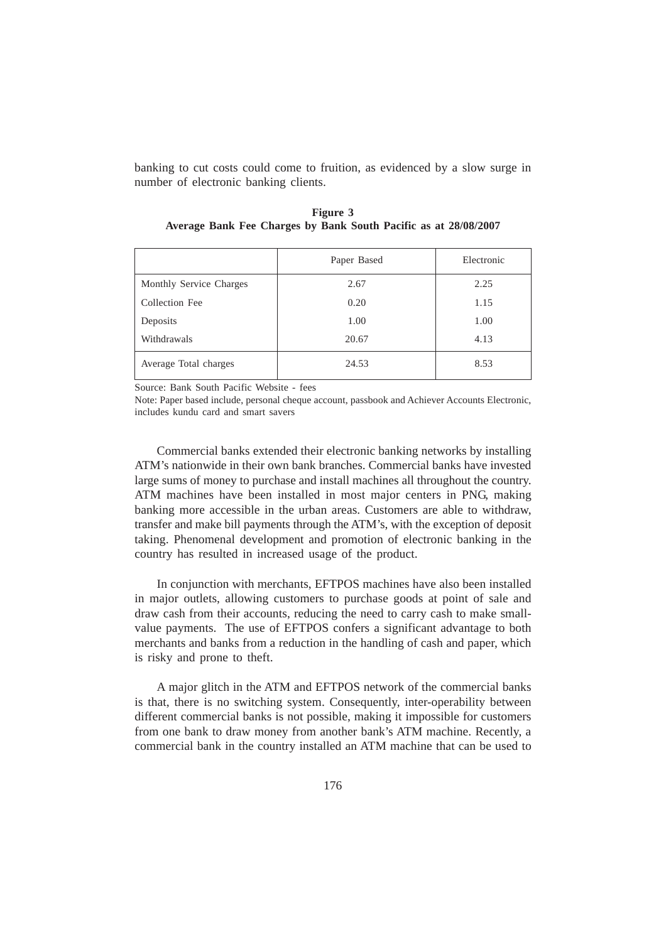banking to cut costs could come to fruition, as evidenced by a slow surge in number of electronic banking clients.

|                         | Paper Based | Electronic |
|-------------------------|-------------|------------|
| Monthly Service Charges | 2.67        | 2.25       |
| Collection Fee          | 0.20        | 1.15       |
| Deposits                | 1.00        | 1.00       |
| Withdrawals             | 20.67       | 4.13       |
| Average Total charges   | 24.53       | 8.53       |

**Figure 3 Average Bank Fee Charges by Bank South Pacific as at 28/08/2007**

Source: Bank South Pacific Website - fees

Note: Paper based include, personal cheque account, passbook and Achiever Accounts Electronic, includes kundu card and smart savers

Commercial banks extended their electronic banking networks by installing ATM's nationwide in their own bank branches. Commercial banks have invested large sums of money to purchase and install machines all throughout the country. ATM machines have been installed in most major centers in PNG, making banking more accessible in the urban areas. Customers are able to withdraw, transfer and make bill payments through the ATM's, with the exception of deposit taking. Phenomenal development and promotion of electronic banking in the country has resulted in increased usage of the product.

In conjunction with merchants, EFTPOS machines have also been installed in major outlets, allowing customers to purchase goods at point of sale and draw cash from their accounts, reducing the need to carry cash to make smallvalue payments. The use of EFTPOS confers a significant advantage to both merchants and banks from a reduction in the handling of cash and paper, which is risky and prone to theft.

A major glitch in the ATM and EFTPOS network of the commercial banks is that, there is no switching system. Consequently, inter-operability between different commercial banks is not possible, making it impossible for customers from one bank to draw money from another bank's ATM machine. Recently, a commercial bank in the country installed an ATM machine that can be used to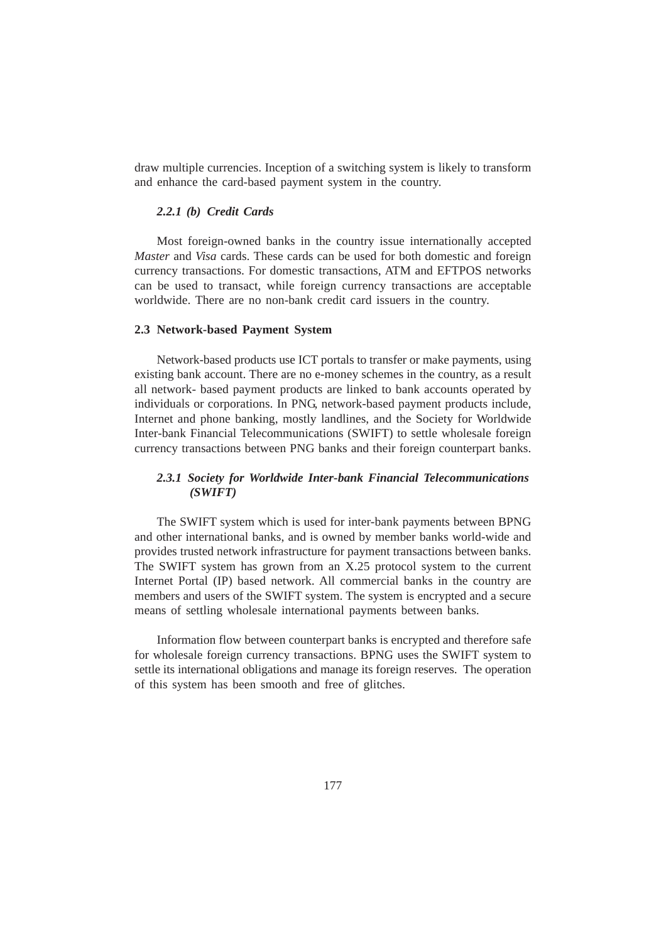draw multiple currencies. Inception of a switching system is likely to transform and enhance the card-based payment system in the country.

## *2.2.1 (b) Credit Cards*

Most foreign-owned banks in the country issue internationally accepted *Master* and *Visa* cards. These cards can be used for both domestic and foreign currency transactions. For domestic transactions, ATM and EFTPOS networks can be used to transact, while foreign currency transactions are acceptable worldwide. There are no non-bank credit card issuers in the country.

#### **2.3 Network-based Payment System**

Network-based products use ICT portals to transfer or make payments, using existing bank account. There are no e-money schemes in the country, as a result all network- based payment products are linked to bank accounts operated by individuals or corporations. In PNG, network-based payment products include, Internet and phone banking, mostly landlines, and the Society for Worldwide Inter-bank Financial Telecommunications (SWIFT) to settle wholesale foreign currency transactions between PNG banks and their foreign counterpart banks.

# *2.3.1 Society for Worldwide Inter-bank Financial Telecommunications (SWIFT)*

The SWIFT system which is used for inter-bank payments between BPNG and other international banks, and is owned by member banks world-wide and provides trusted network infrastructure for payment transactions between banks. The SWIFT system has grown from an X.25 protocol system to the current Internet Portal (IP) based network. All commercial banks in the country are members and users of the SWIFT system. The system is encrypted and a secure means of settling wholesale international payments between banks.

Information flow between counterpart banks is encrypted and therefore safe for wholesale foreign currency transactions. BPNG uses the SWIFT system to settle its international obligations and manage its foreign reserves. The operation of this system has been smooth and free of glitches.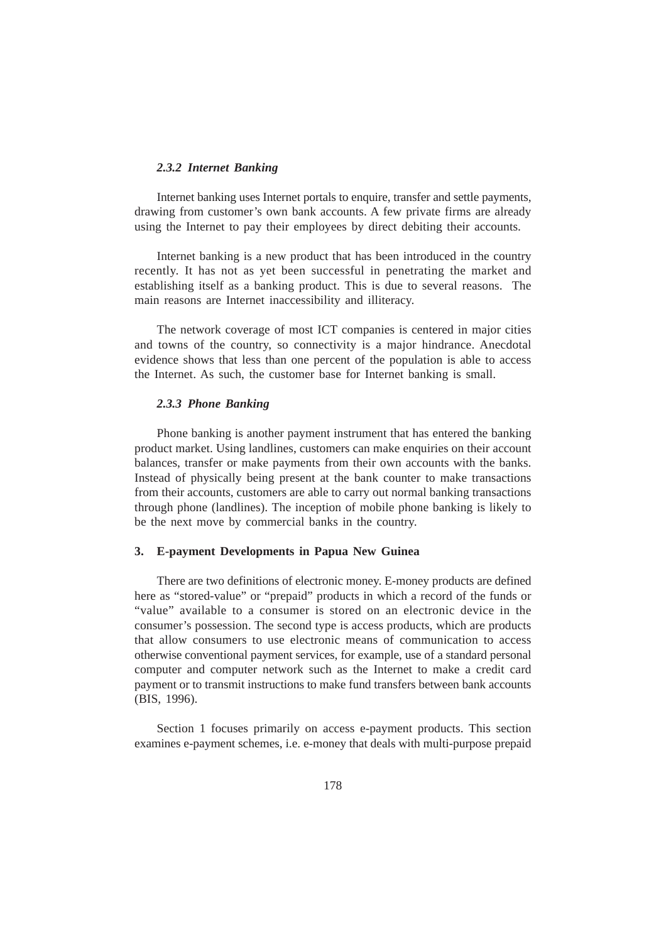## *2.3.2 Internet Banking*

Internet banking uses Internet portals to enquire, transfer and settle payments, drawing from customer's own bank accounts. A few private firms are already using the Internet to pay their employees by direct debiting their accounts.

Internet banking is a new product that has been introduced in the country recently. It has not as yet been successful in penetrating the market and establishing itself as a banking product. This is due to several reasons. The main reasons are Internet inaccessibility and illiteracy.

The network coverage of most ICT companies is centered in major cities and towns of the country, so connectivity is a major hindrance. Anecdotal evidence shows that less than one percent of the population is able to access the Internet. As such, the customer base for Internet banking is small.

## *2.3.3 Phone Banking*

Phone banking is another payment instrument that has entered the banking product market. Using landlines, customers can make enquiries on their account balances, transfer or make payments from their own accounts with the banks. Instead of physically being present at the bank counter to make transactions from their accounts, customers are able to carry out normal banking transactions through phone (landlines). The inception of mobile phone banking is likely to be the next move by commercial banks in the country.

#### **3. E-payment Developments in Papua New Guinea**

There are two definitions of electronic money. E-money products are defined here as "stored-value" or "prepaid" products in which a record of the funds or "value" available to a consumer is stored on an electronic device in the consumer's possession. The second type is access products, which are products that allow consumers to use electronic means of communication to access otherwise conventional payment services, for example, use of a standard personal computer and computer network such as the Internet to make a credit card payment or to transmit instructions to make fund transfers between bank accounts (BIS, 1996).

Section 1 focuses primarily on access e-payment products. This section examines e-payment schemes, i.e. e-money that deals with multi-purpose prepaid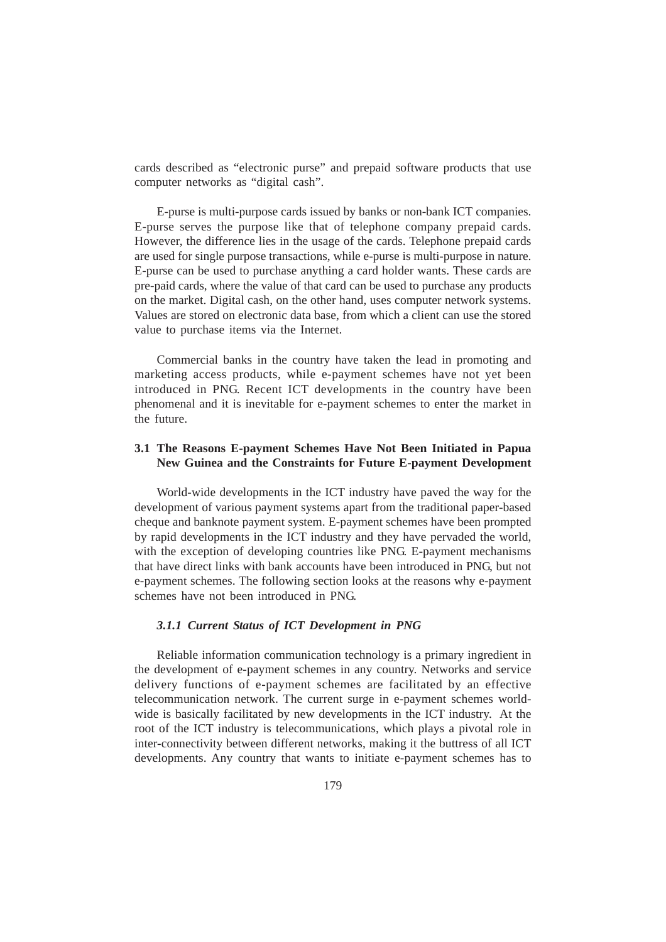cards described as "electronic purse" and prepaid software products that use computer networks as "digital cash".

E-purse is multi-purpose cards issued by banks or non-bank ICT companies. E-purse serves the purpose like that of telephone company prepaid cards. However, the difference lies in the usage of the cards. Telephone prepaid cards are used for single purpose transactions, while e-purse is multi-purpose in nature. E-purse can be used to purchase anything a card holder wants. These cards are pre-paid cards, where the value of that card can be used to purchase any products on the market. Digital cash, on the other hand, uses computer network systems. Values are stored on electronic data base, from which a client can use the stored value to purchase items via the Internet.

Commercial banks in the country have taken the lead in promoting and marketing access products, while e-payment schemes have not yet been introduced in PNG. Recent ICT developments in the country have been phenomenal and it is inevitable for e-payment schemes to enter the market in the future.

# **3.1 The Reasons E-payment Schemes Have Not Been Initiated in Papua New Guinea and the Constraints for Future E-payment Development**

World-wide developments in the ICT industry have paved the way for the development of various payment systems apart from the traditional paper-based cheque and banknote payment system. E-payment schemes have been prompted by rapid developments in the ICT industry and they have pervaded the world, with the exception of developing countries like PNG. E-payment mechanisms that have direct links with bank accounts have been introduced in PNG, but not e-payment schemes. The following section looks at the reasons why e-payment schemes have not been introduced in PNG.

## *3.1.1 Current Status of ICT Development in PNG*

Reliable information communication technology is a primary ingredient in the development of e-payment schemes in any country. Networks and service delivery functions of e-payment schemes are facilitated by an effective telecommunication network. The current surge in e-payment schemes worldwide is basically facilitated by new developments in the ICT industry. At the root of the ICT industry is telecommunications, which plays a pivotal role in inter-connectivity between different networks, making it the buttress of all ICT developments. Any country that wants to initiate e-payment schemes has to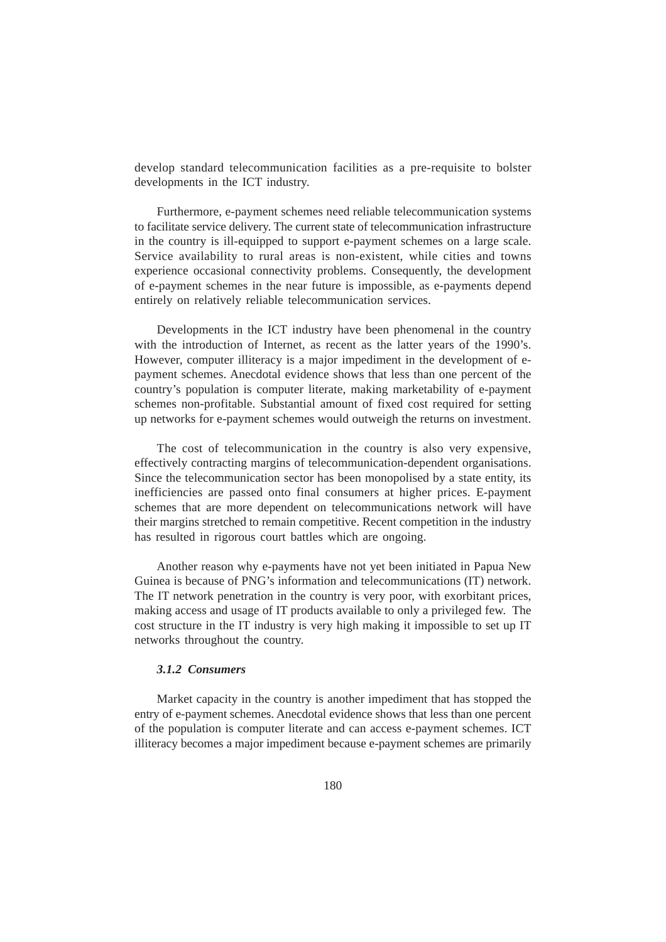develop standard telecommunication facilities as a pre-requisite to bolster developments in the ICT industry.

Furthermore, e-payment schemes need reliable telecommunication systems to facilitate service delivery. The current state of telecommunication infrastructure in the country is ill-equipped to support e-payment schemes on a large scale. Service availability to rural areas is non-existent, while cities and towns experience occasional connectivity problems. Consequently, the development of e-payment schemes in the near future is impossible, as e-payments depend entirely on relatively reliable telecommunication services.

Developments in the ICT industry have been phenomenal in the country with the introduction of Internet, as recent as the latter years of the 1990's. However, computer illiteracy is a major impediment in the development of epayment schemes. Anecdotal evidence shows that less than one percent of the country's population is computer literate, making marketability of e-payment schemes non-profitable. Substantial amount of fixed cost required for setting up networks for e-payment schemes would outweigh the returns on investment.

The cost of telecommunication in the country is also very expensive, effectively contracting margins of telecommunication-dependent organisations. Since the telecommunication sector has been monopolised by a state entity, its inefficiencies are passed onto final consumers at higher prices. E-payment schemes that are more dependent on telecommunications network will have their margins stretched to remain competitive. Recent competition in the industry has resulted in rigorous court battles which are ongoing.

Another reason why e-payments have not yet been initiated in Papua New Guinea is because of PNG's information and telecommunications (IT) network. The IT network penetration in the country is very poor, with exorbitant prices, making access and usage of IT products available to only a privileged few. The cost structure in the IT industry is very high making it impossible to set up IT networks throughout the country.

## *3.1.2 Consumers*

Market capacity in the country is another impediment that has stopped the entry of e-payment schemes. Anecdotal evidence shows that less than one percent of the population is computer literate and can access e-payment schemes. ICT illiteracy becomes a major impediment because e-payment schemes are primarily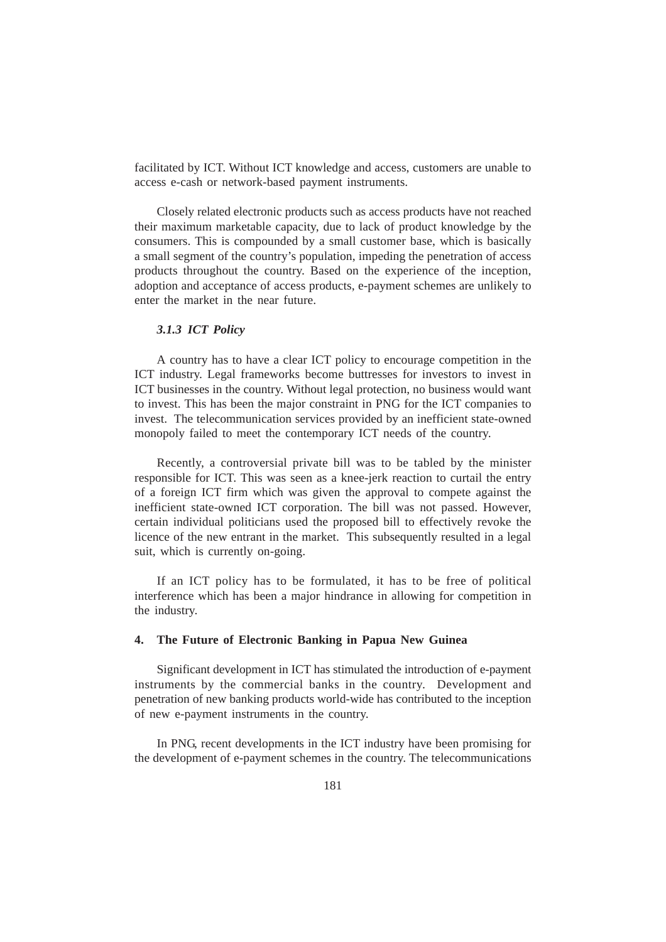facilitated by ICT. Without ICT knowledge and access, customers are unable to access e-cash or network-based payment instruments.

Closely related electronic products such as access products have not reached their maximum marketable capacity, due to lack of product knowledge by the consumers. This is compounded by a small customer base, which is basically a small segment of the country's population, impeding the penetration of access products throughout the country. Based on the experience of the inception, adoption and acceptance of access products, e-payment schemes are unlikely to enter the market in the near future.

## *3.1.3 ICT Policy*

A country has to have a clear ICT policy to encourage competition in the ICT industry. Legal frameworks become buttresses for investors to invest in ICT businesses in the country. Without legal protection, no business would want to invest. This has been the major constraint in PNG for the ICT companies to invest. The telecommunication services provided by an inefficient state-owned monopoly failed to meet the contemporary ICT needs of the country.

Recently, a controversial private bill was to be tabled by the minister responsible for ICT. This was seen as a knee-jerk reaction to curtail the entry of a foreign ICT firm which was given the approval to compete against the inefficient state-owned ICT corporation. The bill was not passed. However, certain individual politicians used the proposed bill to effectively revoke the licence of the new entrant in the market. This subsequently resulted in a legal suit, which is currently on-going.

If an ICT policy has to be formulated, it has to be free of political interference which has been a major hindrance in allowing for competition in the industry.

### **4. The Future of Electronic Banking in Papua New Guinea**

Significant development in ICT has stimulated the introduction of e-payment instruments by the commercial banks in the country. Development and penetration of new banking products world-wide has contributed to the inception of new e-payment instruments in the country.

In PNG, recent developments in the ICT industry have been promising for the development of e-payment schemes in the country. The telecommunications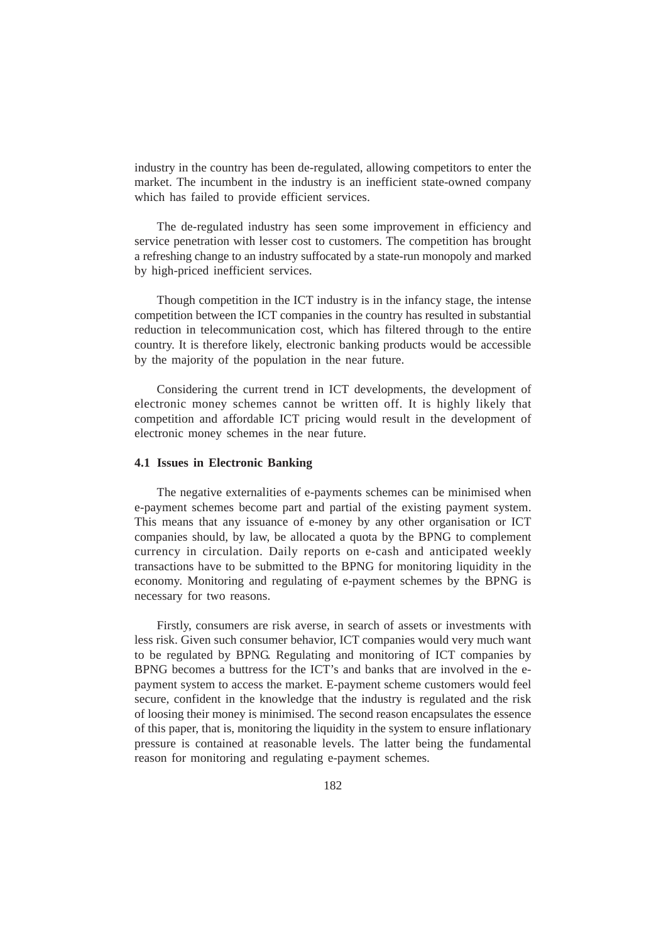industry in the country has been de-regulated, allowing competitors to enter the market. The incumbent in the industry is an inefficient state-owned company which has failed to provide efficient services.

The de-regulated industry has seen some improvement in efficiency and service penetration with lesser cost to customers. The competition has brought a refreshing change to an industry suffocated by a state-run monopoly and marked by high-priced inefficient services.

Though competition in the ICT industry is in the infancy stage, the intense competition between the ICT companies in the country has resulted in substantial reduction in telecommunication cost, which has filtered through to the entire country. It is therefore likely, electronic banking products would be accessible by the majority of the population in the near future.

Considering the current trend in ICT developments, the development of electronic money schemes cannot be written off. It is highly likely that competition and affordable ICT pricing would result in the development of electronic money schemes in the near future.

#### **4.1 Issues in Electronic Banking**

The negative externalities of e-payments schemes can be minimised when e-payment schemes become part and partial of the existing payment system. This means that any issuance of e-money by any other organisation or ICT companies should, by law, be allocated a quota by the BPNG to complement currency in circulation. Daily reports on e-cash and anticipated weekly transactions have to be submitted to the BPNG for monitoring liquidity in the economy. Monitoring and regulating of e-payment schemes by the BPNG is necessary for two reasons.

Firstly, consumers are risk averse, in search of assets or investments with less risk. Given such consumer behavior, ICT companies would very much want to be regulated by BPNG. Regulating and monitoring of ICT companies by BPNG becomes a buttress for the ICT's and banks that are involved in the epayment system to access the market. E-payment scheme customers would feel secure, confident in the knowledge that the industry is regulated and the risk of loosing their money is minimised. The second reason encapsulates the essence of this paper, that is, monitoring the liquidity in the system to ensure inflationary pressure is contained at reasonable levels. The latter being the fundamental reason for monitoring and regulating e-payment schemes.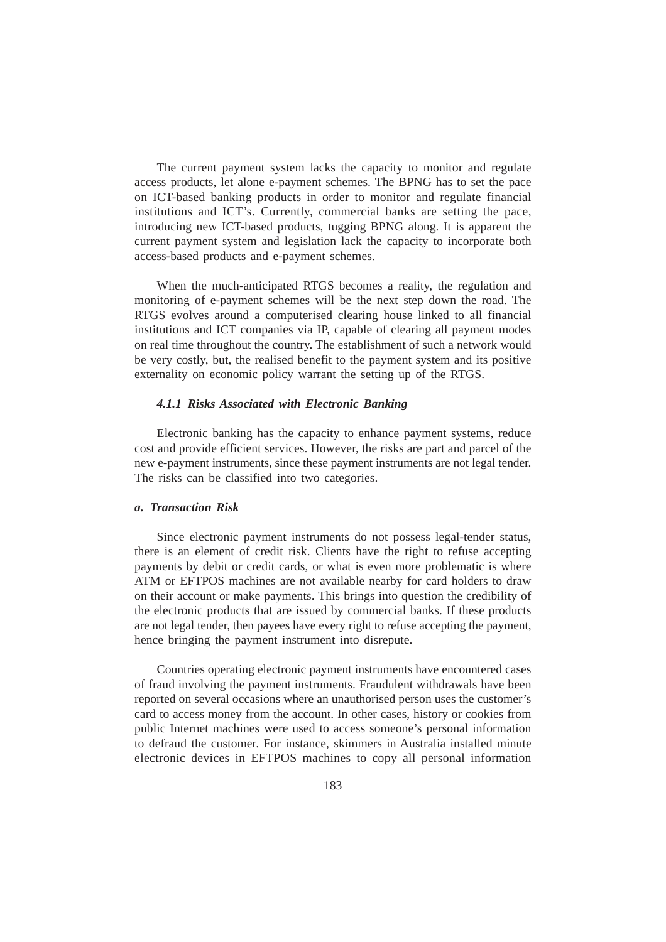The current payment system lacks the capacity to monitor and regulate access products, let alone e-payment schemes. The BPNG has to set the pace on ICT-based banking products in order to monitor and regulate financial institutions and ICT's. Currently, commercial banks are setting the pace, introducing new ICT-based products, tugging BPNG along. It is apparent the current payment system and legislation lack the capacity to incorporate both access-based products and e-payment schemes.

When the much-anticipated RTGS becomes a reality, the regulation and monitoring of e-payment schemes will be the next step down the road. The RTGS evolves around a computerised clearing house linked to all financial institutions and ICT companies via IP, capable of clearing all payment modes on real time throughout the country. The establishment of such a network would be very costly, but, the realised benefit to the payment system and its positive externality on economic policy warrant the setting up of the RTGS.

## *4.1.1 Risks Associated with Electronic Banking*

Electronic banking has the capacity to enhance payment systems, reduce cost and provide efficient services. However, the risks are part and parcel of the new e-payment instruments, since these payment instruments are not legal tender. The risks can be classified into two categories.

## *a. Transaction Risk*

Since electronic payment instruments do not possess legal-tender status, there is an element of credit risk. Clients have the right to refuse accepting payments by debit or credit cards, or what is even more problematic is where ATM or EFTPOS machines are not available nearby for card holders to draw on their account or make payments. This brings into question the credibility of the electronic products that are issued by commercial banks. If these products are not legal tender, then payees have every right to refuse accepting the payment, hence bringing the payment instrument into disrepute.

Countries operating electronic payment instruments have encountered cases of fraud involving the payment instruments. Fraudulent withdrawals have been reported on several occasions where an unauthorised person uses the customer's card to access money from the account. In other cases, history or cookies from public Internet machines were used to access someone's personal information to defraud the customer. For instance, skimmers in Australia installed minute electronic devices in EFTPOS machines to copy all personal information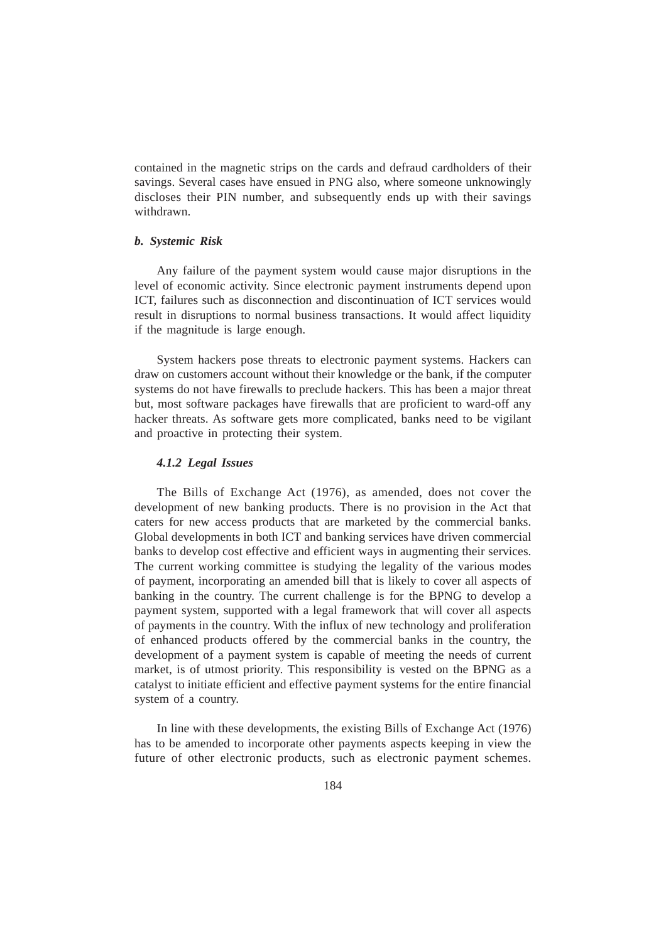contained in the magnetic strips on the cards and defraud cardholders of their savings. Several cases have ensued in PNG also, where someone unknowingly discloses their PIN number, and subsequently ends up with their savings withdrawn.

## *b. Systemic Risk*

Any failure of the payment system would cause major disruptions in the level of economic activity. Since electronic payment instruments depend upon ICT, failures such as disconnection and discontinuation of ICT services would result in disruptions to normal business transactions. It would affect liquidity if the magnitude is large enough.

System hackers pose threats to electronic payment systems. Hackers can draw on customers account without their knowledge or the bank, if the computer systems do not have firewalls to preclude hackers. This has been a major threat but, most software packages have firewalls that are proficient to ward-off any hacker threats. As software gets more complicated, banks need to be vigilant and proactive in protecting their system.

## *4.1.2 Legal Issues*

The Bills of Exchange Act (1976), as amended, does not cover the development of new banking products. There is no provision in the Act that caters for new access products that are marketed by the commercial banks. Global developments in both ICT and banking services have driven commercial banks to develop cost effective and efficient ways in augmenting their services. The current working committee is studying the legality of the various modes of payment, incorporating an amended bill that is likely to cover all aspects of banking in the country. The current challenge is for the BPNG to develop a payment system, supported with a legal framework that will cover all aspects of payments in the country. With the influx of new technology and proliferation of enhanced products offered by the commercial banks in the country, the development of a payment system is capable of meeting the needs of current market, is of utmost priority. This responsibility is vested on the BPNG as a catalyst to initiate efficient and effective payment systems for the entire financial system of a country.

In line with these developments, the existing Bills of Exchange Act (1976) has to be amended to incorporate other payments aspects keeping in view the future of other electronic products, such as electronic payment schemes.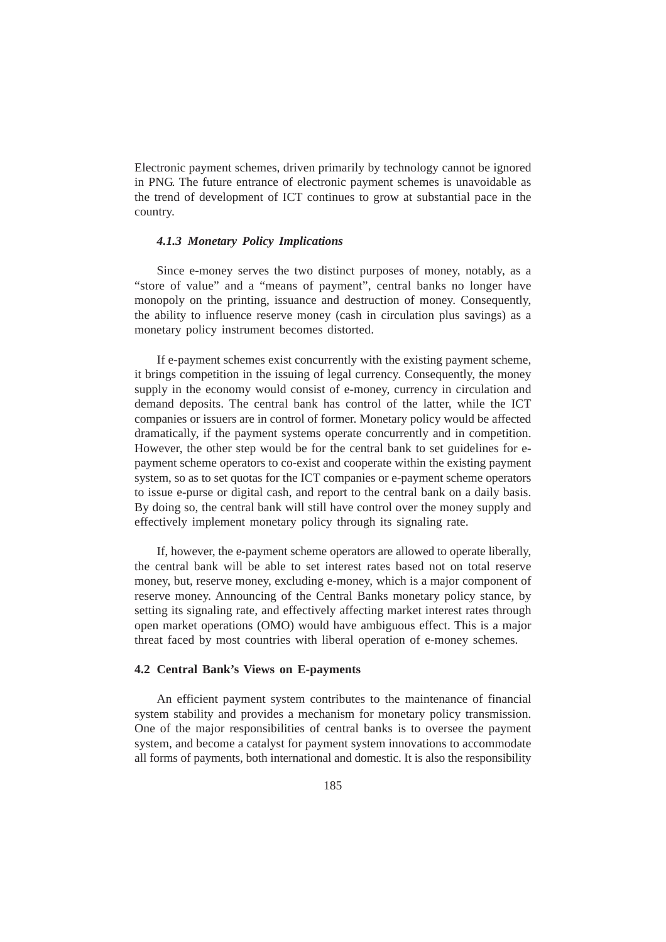Electronic payment schemes, driven primarily by technology cannot be ignored in PNG. The future entrance of electronic payment schemes is unavoidable as the trend of development of ICT continues to grow at substantial pace in the country.

#### *4.1.3 Monetary Policy Implications*

Since e-money serves the two distinct purposes of money, notably, as a "store of value" and a "means of payment", central banks no longer have monopoly on the printing, issuance and destruction of money. Consequently, the ability to influence reserve money (cash in circulation plus savings) as a monetary policy instrument becomes distorted.

If e-payment schemes exist concurrently with the existing payment scheme, it brings competition in the issuing of legal currency. Consequently, the money supply in the economy would consist of e-money, currency in circulation and demand deposits. The central bank has control of the latter, while the ICT companies or issuers are in control of former. Monetary policy would be affected dramatically, if the payment systems operate concurrently and in competition. However, the other step would be for the central bank to set guidelines for epayment scheme operators to co-exist and cooperate within the existing payment system, so as to set quotas for the ICT companies or e-payment scheme operators to issue e-purse or digital cash, and report to the central bank on a daily basis. By doing so, the central bank will still have control over the money supply and effectively implement monetary policy through its signaling rate.

If, however, the e-payment scheme operators are allowed to operate liberally, the central bank will be able to set interest rates based not on total reserve money, but, reserve money, excluding e-money, which is a major component of reserve money. Announcing of the Central Banks monetary policy stance, by setting its signaling rate, and effectively affecting market interest rates through open market operations (OMO) would have ambiguous effect. This is a major threat faced by most countries with liberal operation of e-money schemes.

## **4.2 Central Bank's Views on E-payments**

An efficient payment system contributes to the maintenance of financial system stability and provides a mechanism for monetary policy transmission. One of the major responsibilities of central banks is to oversee the payment system, and become a catalyst for payment system innovations to accommodate all forms of payments, both international and domestic. It is also the responsibility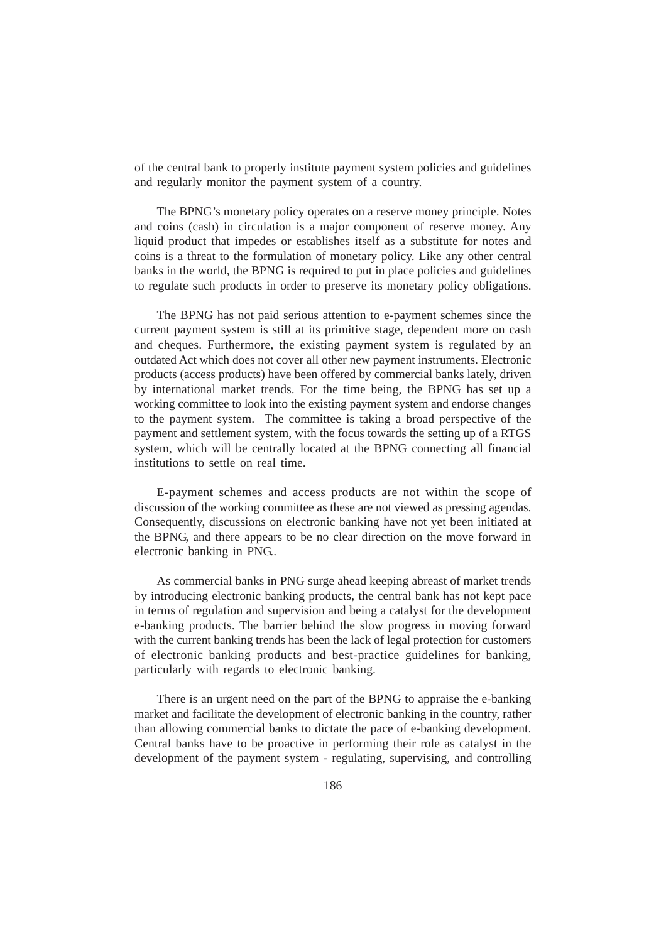of the central bank to properly institute payment system policies and guidelines and regularly monitor the payment system of a country.

The BPNG's monetary policy operates on a reserve money principle. Notes and coins (cash) in circulation is a major component of reserve money. Any liquid product that impedes or establishes itself as a substitute for notes and coins is a threat to the formulation of monetary policy. Like any other central banks in the world, the BPNG is required to put in place policies and guidelines to regulate such products in order to preserve its monetary policy obligations.

The BPNG has not paid serious attention to e-payment schemes since the current payment system is still at its primitive stage, dependent more on cash and cheques. Furthermore, the existing payment system is regulated by an outdated Act which does not cover all other new payment instruments. Electronic products (access products) have been offered by commercial banks lately, driven by international market trends. For the time being, the BPNG has set up a working committee to look into the existing payment system and endorse changes to the payment system. The committee is taking a broad perspective of the payment and settlement system, with the focus towards the setting up of a RTGS system, which will be centrally located at the BPNG connecting all financial institutions to settle on real time.

E-payment schemes and access products are not within the scope of discussion of the working committee as these are not viewed as pressing agendas. Consequently, discussions on electronic banking have not yet been initiated at the BPNG, and there appears to be no clear direction on the move forward in electronic banking in PNG..

As commercial banks in PNG surge ahead keeping abreast of market trends by introducing electronic banking products, the central bank has not kept pace in terms of regulation and supervision and being a catalyst for the development e-banking products. The barrier behind the slow progress in moving forward with the current banking trends has been the lack of legal protection for customers of electronic banking products and best-practice guidelines for banking, particularly with regards to electronic banking.

There is an urgent need on the part of the BPNG to appraise the e-banking market and facilitate the development of electronic banking in the country, rather than allowing commercial banks to dictate the pace of e-banking development. Central banks have to be proactive in performing their role as catalyst in the development of the payment system - regulating, supervising, and controlling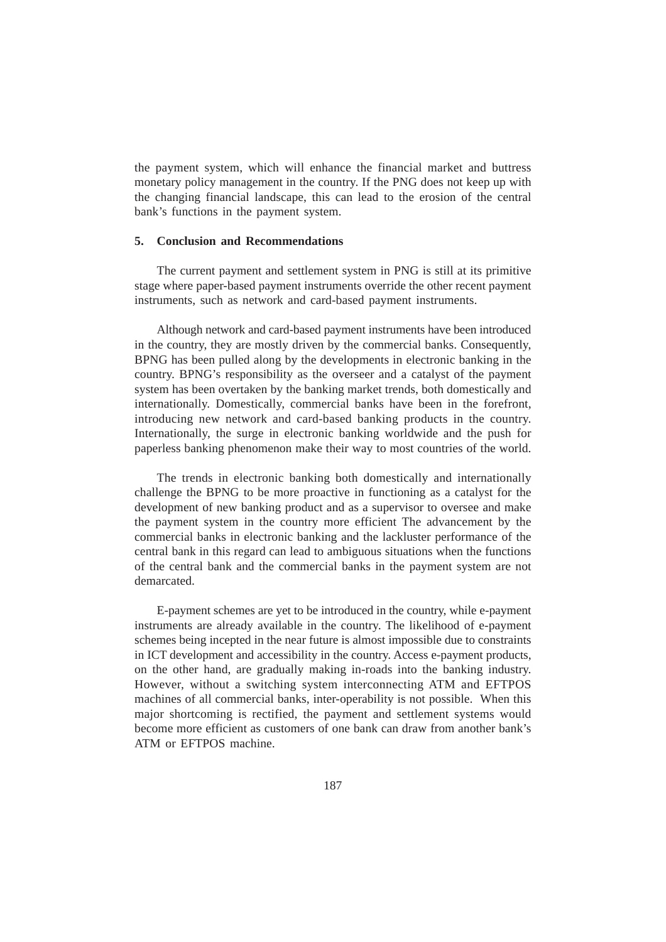the payment system, which will enhance the financial market and buttress monetary policy management in the country. If the PNG does not keep up with the changing financial landscape, this can lead to the erosion of the central bank's functions in the payment system.

#### **5. Conclusion and Recommendations**

The current payment and settlement system in PNG is still at its primitive stage where paper-based payment instruments override the other recent payment instruments, such as network and card-based payment instruments.

Although network and card-based payment instruments have been introduced in the country, they are mostly driven by the commercial banks. Consequently, BPNG has been pulled along by the developments in electronic banking in the country. BPNG's responsibility as the overseer and a catalyst of the payment system has been overtaken by the banking market trends, both domestically and internationally. Domestically, commercial banks have been in the forefront, introducing new network and card-based banking products in the country. Internationally, the surge in electronic banking worldwide and the push for paperless banking phenomenon make their way to most countries of the world.

The trends in electronic banking both domestically and internationally challenge the BPNG to be more proactive in functioning as a catalyst for the development of new banking product and as a supervisor to oversee and make the payment system in the country more efficient The advancement by the commercial banks in electronic banking and the lackluster performance of the central bank in this regard can lead to ambiguous situations when the functions of the central bank and the commercial banks in the payment system are not demarcated.

E-payment schemes are yet to be introduced in the country, while e-payment instruments are already available in the country. The likelihood of e-payment schemes being incepted in the near future is almost impossible due to constraints in ICT development and accessibility in the country. Access e-payment products, on the other hand, are gradually making in-roads into the banking industry. However, without a switching system interconnecting ATM and EFTPOS machines of all commercial banks, inter-operability is not possible. When this major shortcoming is rectified, the payment and settlement systems would become more efficient as customers of one bank can draw from another bank's ATM or EFTPOS machine.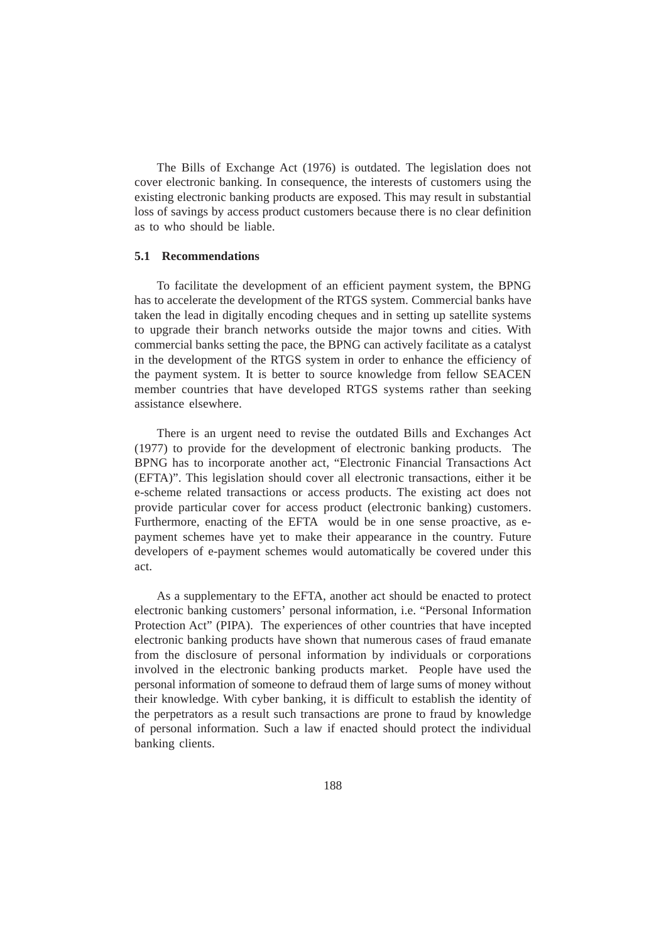The Bills of Exchange Act (1976) is outdated. The legislation does not cover electronic banking. In consequence, the interests of customers using the existing electronic banking products are exposed. This may result in substantial loss of savings by access product customers because there is no clear definition as to who should be liable.

## **5.1 Recommendations**

To facilitate the development of an efficient payment system, the BPNG has to accelerate the development of the RTGS system. Commercial banks have taken the lead in digitally encoding cheques and in setting up satellite systems to upgrade their branch networks outside the major towns and cities. With commercial banks setting the pace, the BPNG can actively facilitate as a catalyst in the development of the RTGS system in order to enhance the efficiency of the payment system. It is better to source knowledge from fellow SEACEN member countries that have developed RTGS systems rather than seeking assistance elsewhere.

There is an urgent need to revise the outdated Bills and Exchanges Act (1977) to provide for the development of electronic banking products. The BPNG has to incorporate another act, "Electronic Financial Transactions Act (EFTA)". This legislation should cover all electronic transactions, either it be e-scheme related transactions or access products. The existing act does not provide particular cover for access product (electronic banking) customers. Furthermore, enacting of the EFTA would be in one sense proactive, as epayment schemes have yet to make their appearance in the country. Future developers of e-payment schemes would automatically be covered under this act.

As a supplementary to the EFTA, another act should be enacted to protect electronic banking customers' personal information, i.e. "Personal Information Protection Act" (PIPA). The experiences of other countries that have incepted electronic banking products have shown that numerous cases of fraud emanate from the disclosure of personal information by individuals or corporations involved in the electronic banking products market. People have used the personal information of someone to defraud them of large sums of money without their knowledge. With cyber banking, it is difficult to establish the identity of the perpetrators as a result such transactions are prone to fraud by knowledge of personal information. Such a law if enacted should protect the individual banking clients.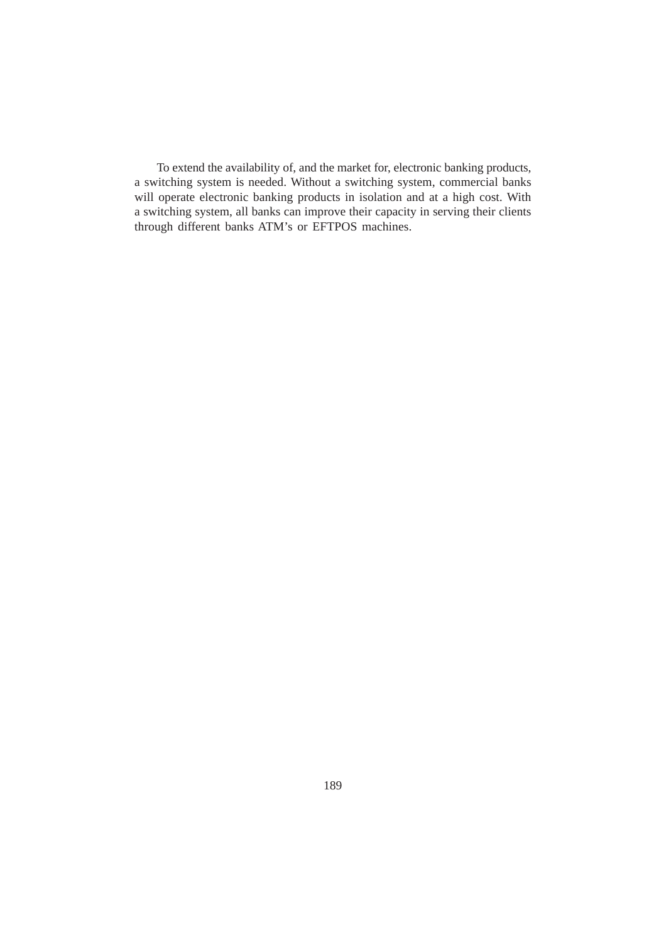To extend the availability of, and the market for, electronic banking products, a switching system is needed. Without a switching system, commercial banks will operate electronic banking products in isolation and at a high cost. With a switching system, all banks can improve their capacity in serving their clients through different banks ATM's or EFTPOS machines.